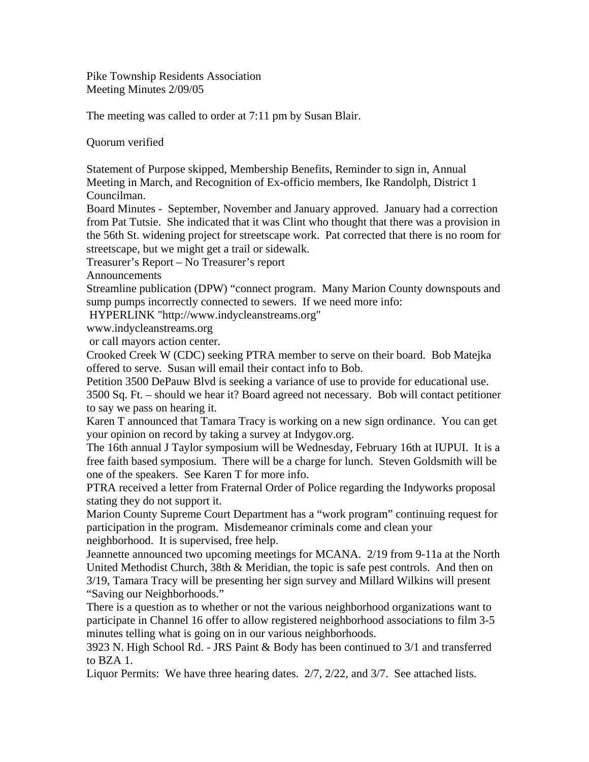Pike Township Residents Association Meeting Minutes 2/09/05

The meeting was called to order at 7:11 pm by Susan Blair.

Quorum verified

Statement of Purpose skipped, Membership Benefits, Reminder to sign in, Annual Meeting in March, and Recognition of Ex-officio members, Ike Randolph, District 1 Councilman.

Board Minutes - September, November and January approved. January had a correction from Pat Tutsie. She indicated that it was Clint who thought that there was a provision in the 56th St. widening project for streetscape work. Pat corrected that there is no room for streetscape, but we might get a trail or sidewalk.

Treasurer's Report – No Treasurer's report

Announcements

Streamline publication (DPW) "connect program. Many Marion County downspouts and sump pumps incorrectly connected to sewers. If we need more info:

HYPERLINK "http://www.indycleanstreams.org"

www.indycleanstreams.org

or call mayors action center.

Crooked Creek W (CDC) seeking PTRA member to serve on their board. Bob Matejka offered to serve. Susan will email their contact info to Bob.

Petition 3500 DePauw Blvd is seeking a variance of use to provide for educational use.

3500 Sq. Ft. – should we hear it? Board agreed not necessary. Bob will contact petitioner to say we pass on hearing it.

Karen T announced that Tamara Tracy is working on a new sign ordinance. You can get your opinion on record by taking a survey at Indygov.org.

The 16th annual J Taylor symposium will be Wednesday, February 16th at IUPUI. It is a free faith based symposium. There will be a charge for lunch. Steven Goldsmith will be one of the speakers. See Karen T for more info.

PTRA received a letter from Fraternal Order of Police regarding the Indyworks proposal stating they do not support it.

Marion County Supreme Court Department has a "work program" continuing request for participation in the program. Misdemeanor criminals come and clean your neighborhood. It is supervised, free help.

Jeannette announced two upcoming meetings for MCANA. 2/19 from 9-11a at the North United Methodist Church, 38th & Meridian, the topic is safe pest controls. And then on 3/19, Tamara Tracy will be presenting her sign survey and Millard Wilkins will present "Saving our Neighborhoods."

There is a question as to whether or not the various neighborhood organizations want to participate in Channel 16 offer to allow registered neighborhood associations to film 3-5 minutes telling what is going on in our various neighborhoods.

3923 N. High School Rd. - JRS Paint & Body has been continued to 3/1 and transferred to BZA 1.

Liquor Permits: We have three hearing dates. 2/7, 2/22, and 3/7. See attached lists.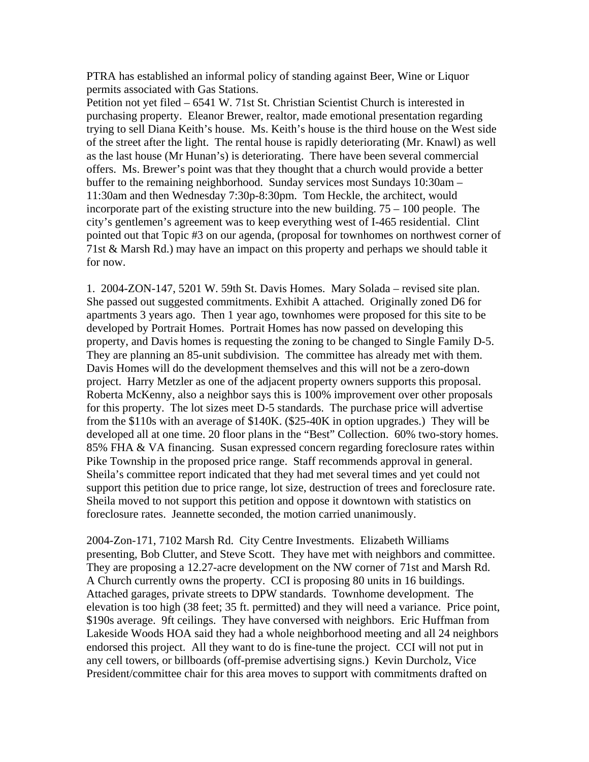PTRA has established an informal policy of standing against Beer, Wine or Liquor permits associated with Gas Stations.

Petition not yet filed – 6541 W. 71st St. Christian Scientist Church is interested in purchasing property. Eleanor Brewer, realtor, made emotional presentation regarding trying to sell Diana Keith's house. Ms. Keith's house is the third house on the West side of the street after the light. The rental house is rapidly deteriorating (Mr. Knawl) as well as the last house (Mr Hunan's) is deteriorating. There have been several commercial offers. Ms. Brewer's point was that they thought that a church would provide a better buffer to the remaining neighborhood. Sunday services most Sundays 10:30am – 11:30am and then Wednesday 7:30p-8:30pm. Tom Heckle, the architect, would incorporate part of the existing structure into the new building.  $75 - 100$  people. The city's gentlemen's agreement was to keep everything west of I-465 residential. Clint pointed out that Topic #3 on our agenda, (proposal for townhomes on northwest corner of 71st & Marsh Rd.) may have an impact on this property and perhaps we should table it for now.

1. 2004-ZON-147, 5201 W. 59th St. Davis Homes. Mary Solada – revised site plan. She passed out suggested commitments. Exhibit A attached. Originally zoned D6 for apartments 3 years ago. Then 1 year ago, townhomes were proposed for this site to be developed by Portrait Homes. Portrait Homes has now passed on developing this property, and Davis homes is requesting the zoning to be changed to Single Family D-5. They are planning an 85-unit subdivision. The committee has already met with them. Davis Homes will do the development themselves and this will not be a zero-down project. Harry Metzler as one of the adjacent property owners supports this proposal. Roberta McKenny, also a neighbor says this is 100% improvement over other proposals for this property. The lot sizes meet D-5 standards. The purchase price will advertise from the \$110s with an average of \$140K. (\$25-40K in option upgrades.) They will be developed all at one time. 20 floor plans in the "Best" Collection. 60% two-story homes. 85% FHA & VA financing. Susan expressed concern regarding foreclosure rates within Pike Township in the proposed price range. Staff recommends approval in general. Sheila's committee report indicated that they had met several times and yet could not support this petition due to price range, lot size, destruction of trees and foreclosure rate. Sheila moved to not support this petition and oppose it downtown with statistics on foreclosure rates. Jeannette seconded, the motion carried unanimously.

2004-Zon-171, 7102 Marsh Rd. City Centre Investments. Elizabeth Williams presenting, Bob Clutter, and Steve Scott. They have met with neighbors and committee. They are proposing a 12.27-acre development on the NW corner of 71st and Marsh Rd. A Church currently owns the property. CCI is proposing 80 units in 16 buildings. Attached garages, private streets to DPW standards. Townhome development. The elevation is too high (38 feet; 35 ft. permitted) and they will need a variance. Price point, \$190s average. 9ft ceilings. They have conversed with neighbors. Eric Huffman from Lakeside Woods HOA said they had a whole neighborhood meeting and all 24 neighbors endorsed this project. All they want to do is fine-tune the project. CCI will not put in any cell towers, or billboards (off-premise advertising signs.) Kevin Durcholz, Vice President/committee chair for this area moves to support with commitments drafted on